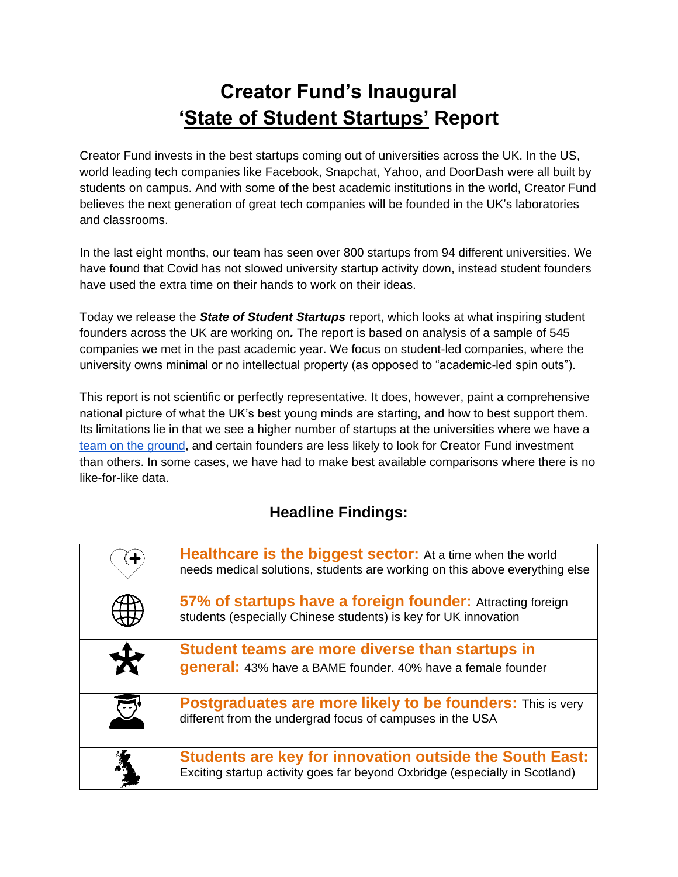# **Creator Fund's Inaugural 'State of Student Startups' Report**

Creator Fund invests in the best startups coming out of universities across the UK. In the US, world leading tech companies like Facebook, Snapchat, Yahoo, and DoorDash were all built by students on campus. And with some of the best academic institutions in the world, Creator Fund believes the next generation of great tech companies will be founded in the UK's laboratories and classrooms.

In the last eight months, our team has seen over 800 startups from 94 different universities. We have found that Covid has not slowed university startup activity down, instead student founders have used the extra time on their hands to work on their ideas.

Today we release the *State of Student Startups* report, which looks at what inspiring student founders across the UK are working on*.* The report is based on analysis of a sample of 545 companies we met in the past academic year. We focus on student-led companies, where the university owns minimal or no intellectual property (as opposed to "academic-led spin outs").

This report is not scientific or perfectly representative. It does, however, paint a comprehensive national picture of what the UK's best young minds are starting, and how to best support them. Its limitations lie in that we see a higher number of startups at the universities where we have a [team on the ground,](https://www.thecreatorfund.com/universities/) and certain founders are less likely to look for Creator Fund investment than others. In some cases, we have had to make best available comparisons where there is no like-for-like data.

# **Headline Findings:**

| <b>Healthcare is the biggest sector:</b> At a time when the world<br>needs medical solutions, students are working on this above everything else |
|--------------------------------------------------------------------------------------------------------------------------------------------------|
| 57% of startups have a foreign founder: Attracting foreign<br>students (especially Chinese students) is key for UK innovation                    |
| Student teams are more diverse than startups in                                                                                                  |
| general: 43% have a BAME founder. 40% have a female founder                                                                                      |
| <b>Postgraduates are more likely to be founders:</b> This is very<br>different from the undergrad focus of campuses in the USA                   |
| <b>Students are key for innovation outside the South East:</b><br>Exciting startup activity goes far beyond Oxbridge (especially in Scotland)    |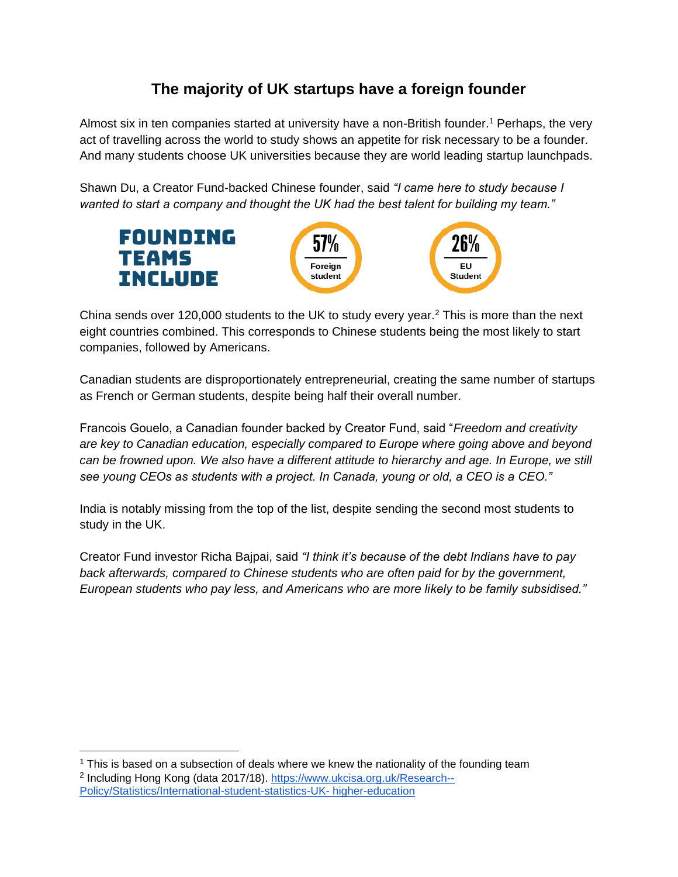# **The majority of UK startups have a foreign founder**

Almost six in ten companies started at university have a non-British founder.<sup>1</sup> Perhaps, the very act of travelling across the world to study shows an appetite for risk necessary to be a founder. And many students choose UK universities because they are world leading startup launchpads.

Shawn Du, a Creator Fund-backed Chinese founder, said *"I came here to study because I wanted to start a company and thought the UK had the best talent for building my team."*



China sends over 120,000 students to the UK to study every year.<sup>2</sup> This is more than the next eight countries combined. This corresponds to Chinese students being the most likely to start companies, followed by Americans.

Canadian students are disproportionately entrepreneurial, creating the same number of startups as French or German students, despite being half their overall number.

Francois Gouelo, a Canadian founder backed by Creator Fund, said "*Freedom and creativity are key to Canadian education, especially compared to Europe where going above and beyond can be frowned upon. We also have a different attitude to hierarchy and age. In Europe, we still see young CEOs as students with a project. In Canada, young or old, a CEO is a CEO."*

India is notably missing from the top of the list, despite sending the second most students to study in the UK.

Creator Fund investor Richa Bajpai, said *"I think it's because of the debt Indians have to pay back afterwards, compared to Chinese students who are often paid for by the government, European students who pay less, and Americans who are more likely to be family subsidised."* 

 $1$  This is based on a subsection of deals where we knew the nationality of the founding team <sup>2</sup> Including Hong Kong (data 2017/18). [https://www.ukcisa.org.uk/Research--](https://www.ukcisa.org.uk/Research--Policy/Statistics/International-student-statistics-UK-higher-education)

[Policy/Statistics/International-student-statistics-UK-](https://www.ukcisa.org.uk/Research--Policy/Statistics/International-student-statistics-UK-higher-education) higher-education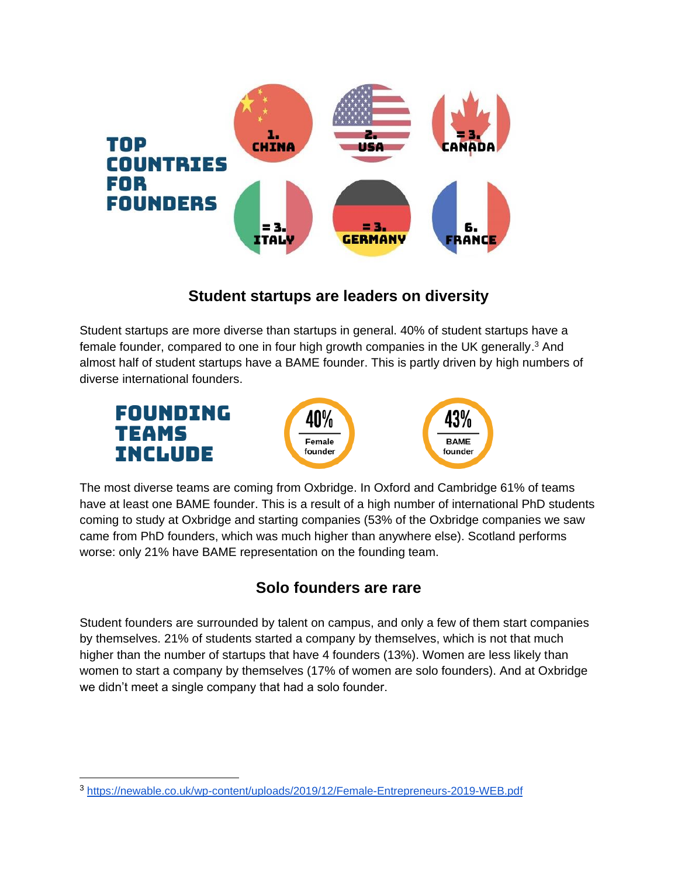

## **Student startups are leaders on diversity**

Student startups are more diverse than startups in general. 40% of student startups have a female founder, compared to one in four high growth companies in the UK generally.<sup>3</sup> And almost half of student startups have a BAME founder. This is partly driven by high numbers of diverse international founders.





43% **BAME** founder

The most diverse teams are coming from Oxbridge. In Oxford and Cambridge 61% of teams have at least one BAME founder. This is a result of a high number of international PhD students coming to study at Oxbridge and starting companies (53% of the Oxbridge companies we saw came from PhD founders, which was much higher than anywhere else). Scotland performs worse: only 21% have BAME representation on the founding team.

# **Solo founders are rare**

Student founders are surrounded by talent on campus, and only a few of them start companies by themselves. 21% of students started a company by themselves, which is not that much higher than the number of startups that have 4 founders (13%). Women are less likely than women to start a company by themselves (17% of women are solo founders). And at Oxbridge we didn't meet a single company that had a solo founder.

<sup>3</sup> <https://newable.co.uk/wp-content/uploads/2019/12/Female-Entrepreneurs-2019-WEB.pdf>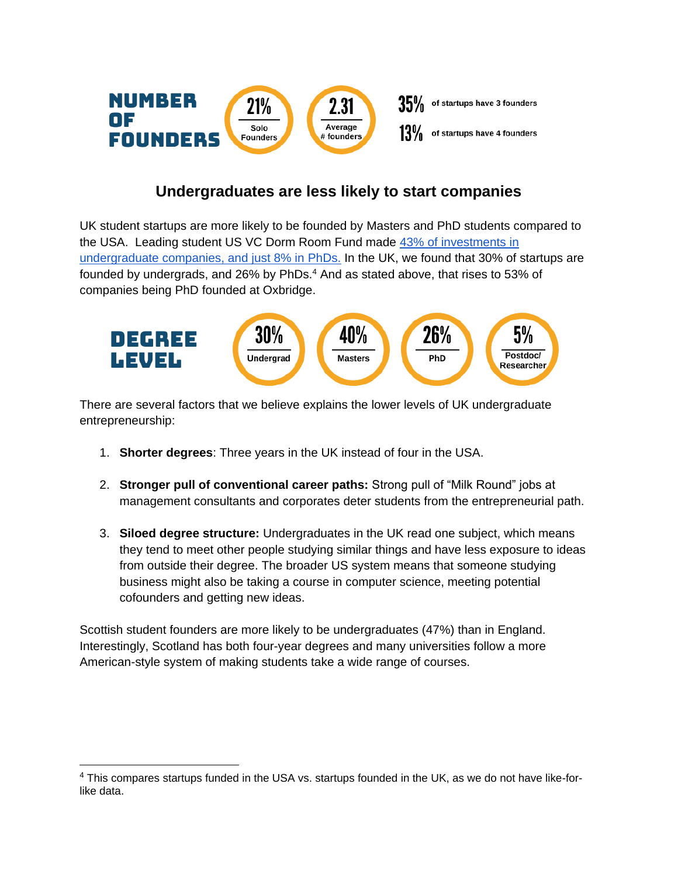

## **Undergraduates are less likely to start companies**

UK student startups are more likely to be founded by Masters and PhD students compared to the USA. Leading student US VC Dorm Room Fund made [43% of investments in](https://5years.dormroomfund.com/)  [undergraduate companies, and just 8% in PhDs.](https://5years.dormroomfund.com/) In the UK, we found that 30% of startups are founded by undergrads, and 26% by PhDs.<sup>4</sup> And as stated above, that rises to 53% of companies being PhD founded at Oxbridge.



There are several factors that we believe explains the lower levels of UK undergraduate entrepreneurship:

- 1. **Shorter degrees**: Three years in the UK instead of four in the USA.
- 2. **Stronger pull of conventional career paths:** Strong pull of "Milk Round" jobs at management consultants and corporates deter students from the entrepreneurial path.
- 3. **Siloed degree structure:** Undergraduates in the UK read one subject, which means they tend to meet other people studying similar things and have less exposure to ideas from outside their degree. The broader US system means that someone studying business might also be taking a course in computer science, meeting potential cofounders and getting new ideas.

Scottish student founders are more likely to be undergraduates (47%) than in England. Interestingly, Scotland has both four-year degrees and many universities follow a more American-style system of making students take a wide range of courses.

<sup>4</sup> This compares startups funded in the USA vs. startups founded in the UK, as we do not have like-forlike data.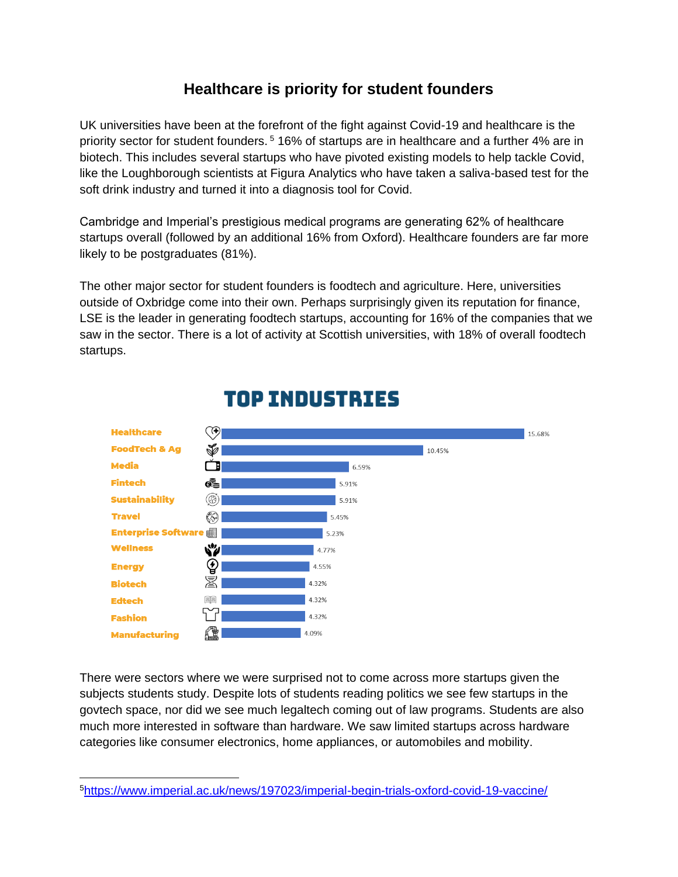# **Healthcare is priority for student founders**

UK universities have been at the forefront of the fight against Covid-19 and healthcare is the priority sector for student founders. <sup>5</sup> 16% of startups are in healthcare and a further 4% are in biotech. This includes several startups who have pivoted existing models to help tackle Covid, like the Loughborough scientists at Figura Analytics who have taken a saliva-based test for the soft drink industry and turned it into a diagnosis tool for Covid.

Cambridge and Imperial's prestigious medical programs are generating 62% of healthcare startups overall (followed by an additional 16% from Oxford). Healthcare founders are far more likely to be postgraduates (81%).

The other major sector for student founders is foodtech and agriculture. Here, universities outside of Oxbridge come into their own. Perhaps surprisingly given its reputation for finance, LSE is the leader in generating foodtech startups, accounting for 16% of the companies that we saw in the sector. There is a lot of activity at Scottish universities, with 18% of overall foodtech startups.



# **TOP INDUSTRIES**

There were sectors where we were surprised not to come across more startups given the subjects students study. Despite lots of students reading politics we see few startups in the govtech space, nor did we see much legaltech coming out of law programs. Students are also much more interested in software than hardware. We saw limited startups across hardware categories like consumer electronics, home appliances, or automobiles and mobility.

<sup>5</sup><https://www.imperial.ac.uk/news/197023/imperial-begin-trials-oxford-covid-19-vaccine/>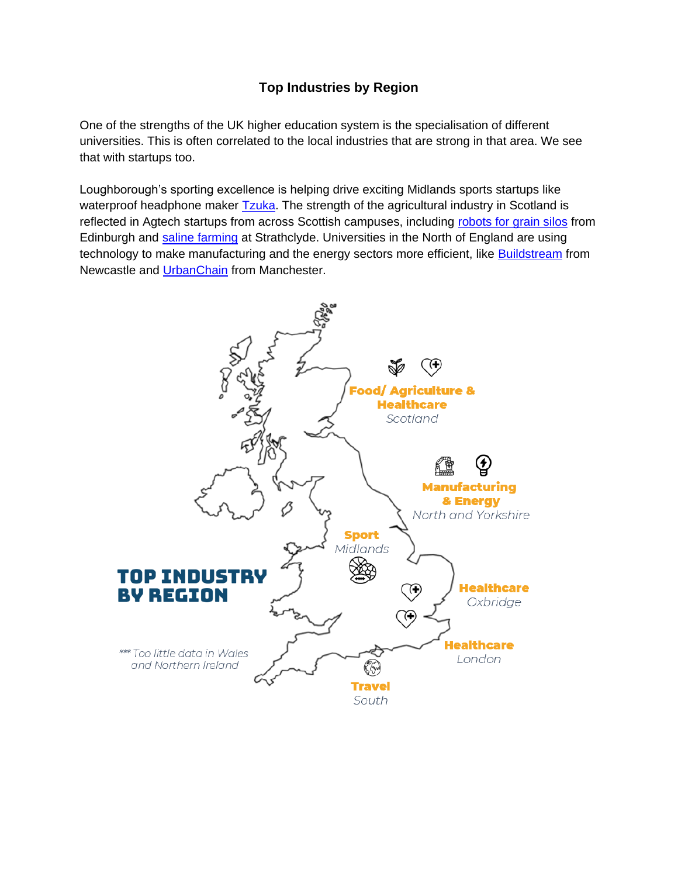#### **Top Industries by Region**

One of the strengths of the UK higher education system is the specialisation of different universities. This is often correlated to the local industries that are strong in that area. We see that with startups too.

Loughborough's sporting excellence is helping drive exciting Midlands sports startups like waterproof headphone maker **Tzuka**. The strength of the agricultural industry in Scotland is reflected in Agtech startups from across Scottish campuses, including [robots for grain silos](https://www.crover.tech/) from Edinburgh and [saline farming](https://www.seawatersolutions.org/) at Strathclyde. Universities in the North of England are using technology to make manufacturing and the energy sectors more efficient, like [Buildstream](https://www.buildstream.co.uk/) from Newcastle and [UrbanChain](https://urbanchain.co.uk/) from Manchester.

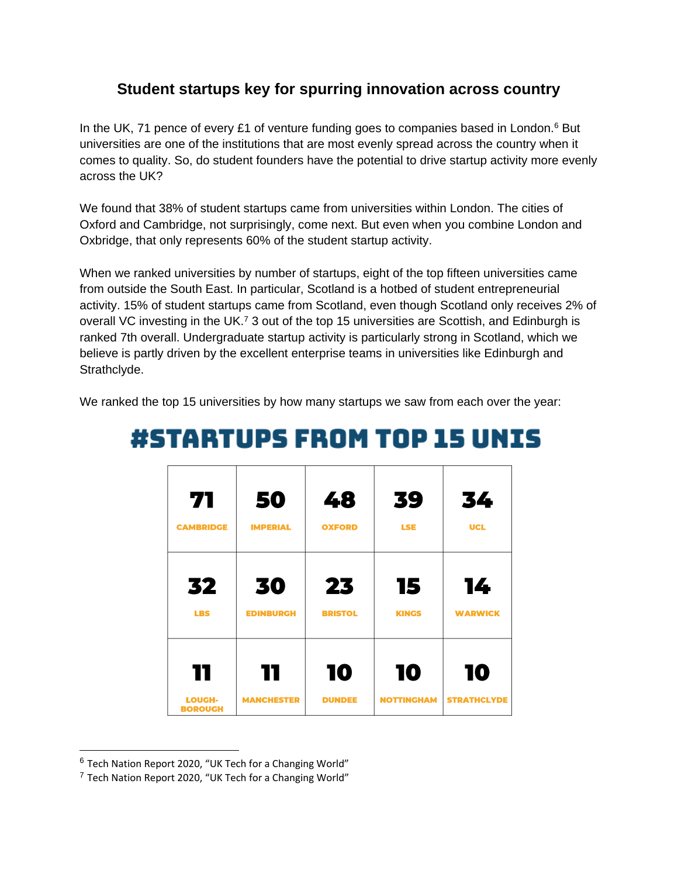## **Student startups key for spurring innovation across country**

In the UK, 71 pence of every £1 of venture funding goes to companies based in London.<sup>6</sup> But universities are one of the institutions that are most evenly spread across the country when it comes to quality. So, do student founders have the potential to drive startup activity more evenly across the UK?

We found that 38% of student startups came from universities within London. The cities of Oxford and Cambridge, not surprisingly, come next. But even when you combine London and Oxbridge, that only represents 60% of the student startup activity.

When we ranked universities by number of startups, eight of the top fifteen universities came from outside the South East. In particular, Scotland is a hotbed of student entrepreneurial activity. 15% of student startups came from Scotland, even though Scotland only receives 2% of overall VC investing in the UK.<sup>7</sup> 3 out of the top 15 universities are Scottish, and Edinburgh is ranked 7th overall. Undergraduate startup activity is particularly strong in Scotland, which we believe is partly driven by the excellent enterprise teams in universities like Edinburgh and Strathclyde.

We ranked the top 15 universities by how many startups we saw from each over the year:

| 71                              | 50                | 48             | 39                | 34                 |
|---------------------------------|-------------------|----------------|-------------------|--------------------|
| <b>CAMBRIDGE</b>                | <b>IMPERIAL</b>   | <b>OXFORD</b>  | <b>LSE</b>        | <b>UCL</b>         |
|                                 |                   |                |                   |                    |
| 32                              | 30                | 23             | 15                | 14                 |
| <b>LBS</b>                      | <b>EDINBURGH</b>  | <b>BRISTOL</b> | <b>KINGS</b>      | <b>WARWICK</b>     |
|                                 |                   |                |                   |                    |
| 11                              | 11                | 10             | 10                | 10                 |
| <b>LOUGH-</b><br><b>BOROUGH</b> | <b>MANCHESTER</b> | <b>DUNDEE</b>  | <b>NOTTINGHAM</b> | <b>STRATHCLYDE</b> |

# **#STARTUPS FROM TOP 15 UNIS**

 $6$  Tech Nation Report 2020, "UK Tech for a Changing World"

<sup>7</sup> Tech Nation Report 2020, "UK Tech for a Changing World"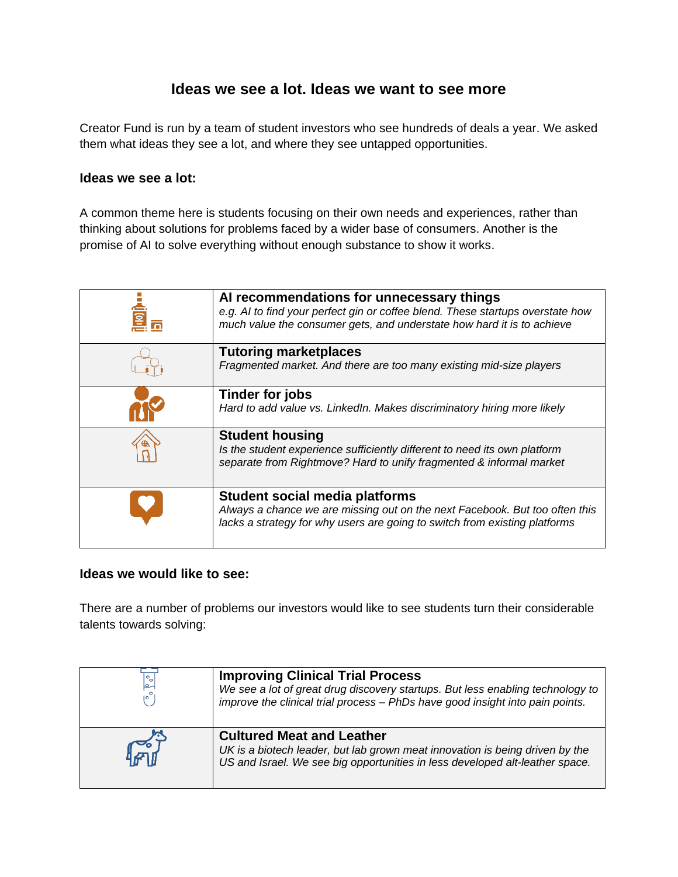#### **Ideas we see a lot. Ideas we want to see more**

Creator Fund is run by a team of student investors who see hundreds of deals a year. We asked them what ideas they see a lot, and where they see untapped opportunities.

#### **Ideas we see a lot:**

A common theme here is students focusing on their own needs and experiences, rather than thinking about solutions for problems faced by a wider base of consumers. Another is the promise of AI to solve everything without enough substance to show it works.

| <u>al</u> | Al recommendations for unnecessary things<br>e.g. AI to find your perfect gin or coffee blend. These startups overstate how<br>much value the consumer gets, and understate how hard it is to achieve |
|-----------|-------------------------------------------------------------------------------------------------------------------------------------------------------------------------------------------------------|
|           | <b>Tutoring marketplaces</b><br>Fragmented market. And there are too many existing mid-size players                                                                                                   |
|           | Tinder for jobs<br>Hard to add value vs. LinkedIn. Makes discriminatory hiring more likely                                                                                                            |
|           | <b>Student housing</b><br>Is the student experience sufficiently different to need its own platform<br>separate from Rightmove? Hard to unify fragmented & informal market                            |
|           | <b>Student social media platforms</b><br>Always a chance we are missing out on the next Facebook. But too often this<br>lacks a strategy for why users are going to switch from existing platforms    |

#### **Ideas we would like to see:**

There are a number of problems our investors would like to see students turn their considerable talents towards solving:

| ∣s∽ | <b>Improving Clinical Trial Process</b><br>We see a lot of great drug discovery startups. But less enabling technology to<br>improve the clinical trial process - PhDs have good insight into pain points. |
|-----|------------------------------------------------------------------------------------------------------------------------------------------------------------------------------------------------------------|
| ה⊬  | <b>Cultured Meat and Leather</b><br>UK is a biotech leader, but lab grown meat innovation is being driven by the<br>US and Israel. We see big opportunities in less developed alt-leather space.           |